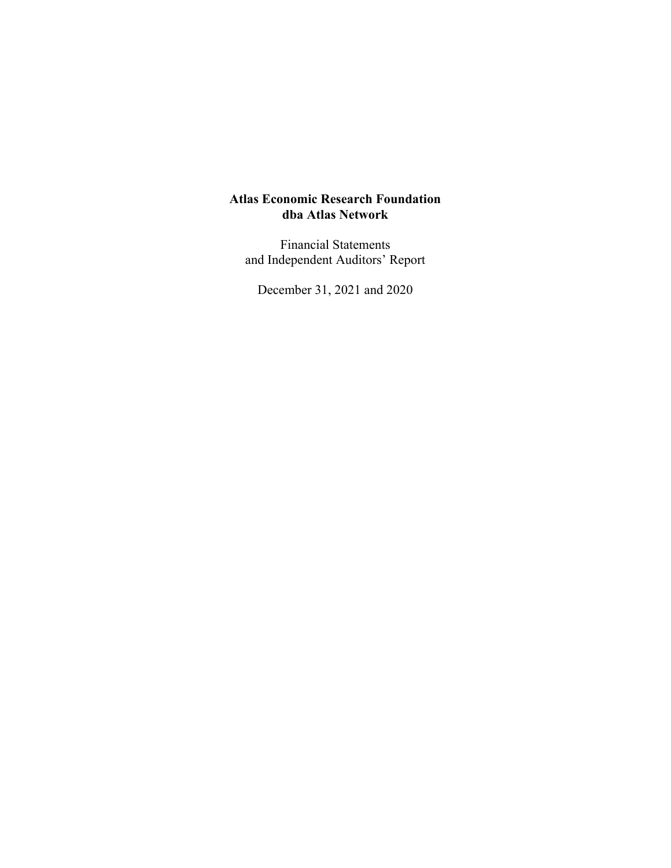Financial Statements and Independent Auditors' Report

December 31, 2021 and 2020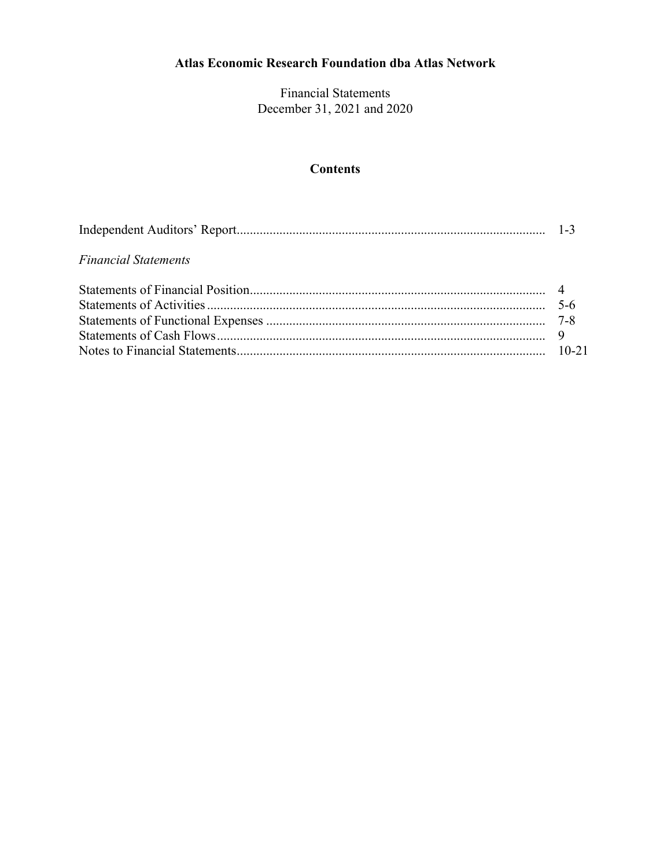Financial Statements December 31, 2021 and 2020

# **Contents**

### *Financial Statements*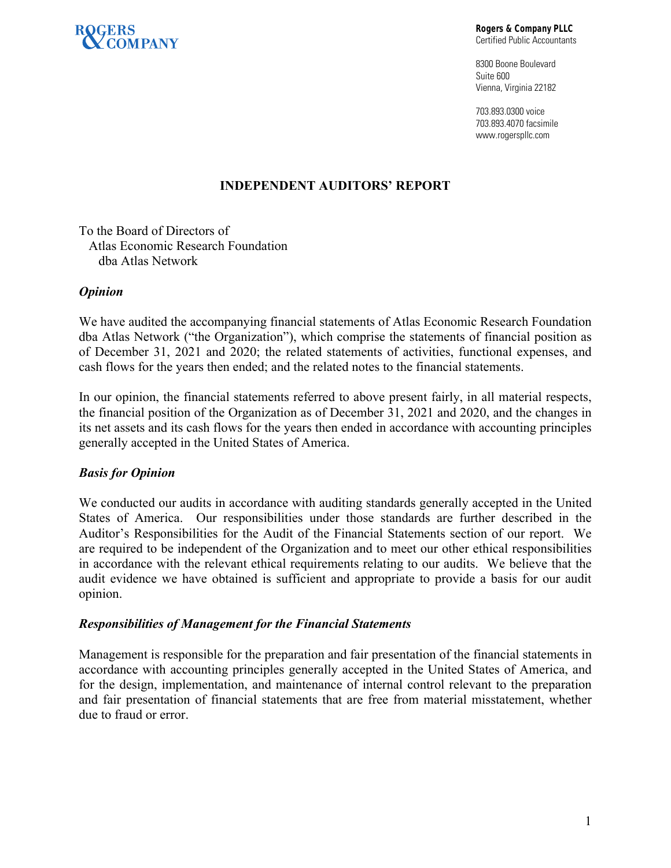

**Rogers & Company PLLC**  Certified Public Accountants

8300 Boone Boulevard Suite 600 Vienna, Virginia 22182

703.893.0300 voice 703.893.4070 facsimile www.rogerspllc.com

### **INDEPENDENT AUDITORS' REPORT**

To the Board of Directors of Atlas Economic Research Foundation dba Atlas Network

#### *Opinion*

We have audited the accompanying financial statements of Atlas Economic Research Foundation dba Atlas Network ("the Organization"), which comprise the statements of financial position as of December 31, 2021 and 2020; the related statements of activities, functional expenses, and cash flows for the years then ended; and the related notes to the financial statements.

In our opinion, the financial statements referred to above present fairly, in all material respects, the financial position of the Organization as of December 31, 2021 and 2020, and the changes in its net assets and its cash flows for the years then ended in accordance with accounting principles generally accepted in the United States of America.

#### *Basis for Opinion*

We conducted our audits in accordance with auditing standards generally accepted in the United States of America. Our responsibilities under those standards are further described in the Auditor's Responsibilities for the Audit of the Financial Statements section of our report. We are required to be independent of the Organization and to meet our other ethical responsibilities in accordance with the relevant ethical requirements relating to our audits. We believe that the audit evidence we have obtained is sufficient and appropriate to provide a basis for our audit opinion.

#### *Responsibilities of Management for the Financial Statements*

Management is responsible for the preparation and fair presentation of the financial statements in accordance with accounting principles generally accepted in the United States of America, and for the design, implementation, and maintenance of internal control relevant to the preparation and fair presentation of financial statements that are free from material misstatement, whether due to fraud or error.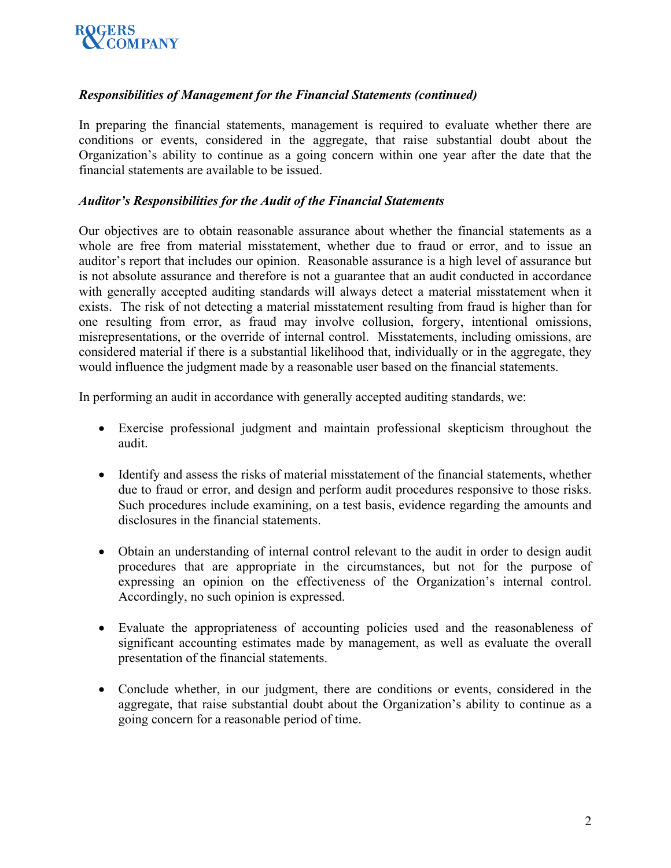

### *Responsibilities of Management for the Financial Statements (continued)*

In preparing the financial statements, management is required to evaluate whether there are conditions or events, considered in the aggregate, that raise substantial doubt about the Organization's ability to continue as a going concern within one year after the date that the financial statements are available to be issued.

#### *Auditor's Responsibilities for the Audit of the Financial Statements*

Our objectives are to obtain reasonable assurance about whether the financial statements as a whole are free from material misstatement, whether due to fraud or error, and to issue an auditor's report that includes our opinion. Reasonable assurance is a high level of assurance but is not absolute assurance and therefore is not a guarantee that an audit conducted in accordance with generally accepted auditing standards will always detect a material misstatement when it exists. The risk of not detecting a material misstatement resulting from fraud is higher than for one resulting from error, as fraud may involve collusion, forgery, intentional omissions, misrepresentations, or the override of internal control. Misstatements, including omissions, are considered material if there is a substantial likelihood that, individually or in the aggregate, they would influence the judgment made by a reasonable user based on the financial statements.

In performing an audit in accordance with generally accepted auditing standards, we:

- Exercise professional judgment and maintain professional skepticism throughout the audit.
- Identify and assess the risks of material misstatement of the financial statements, whether due to fraud or error, and design and perform audit procedures responsive to those risks. Such procedures include examining, on a test basis, evidence regarding the amounts and disclosures in the financial statements.
- Obtain an understanding of internal control relevant to the audit in order to design audit procedures that are appropriate in the circumstances, but not for the purpose of expressing an opinion on the effectiveness of the Organization's internal control. Accordingly, no such opinion is expressed.
- Evaluate the appropriateness of accounting policies used and the reasonableness of significant accounting estimates made by management, as well as evaluate the overall presentation of the financial statements.
- Conclude whether, in our judgment, there are conditions or events, considered in the aggregate, that raise substantial doubt about the Organization's ability to continue as a going concern for a reasonable period of time.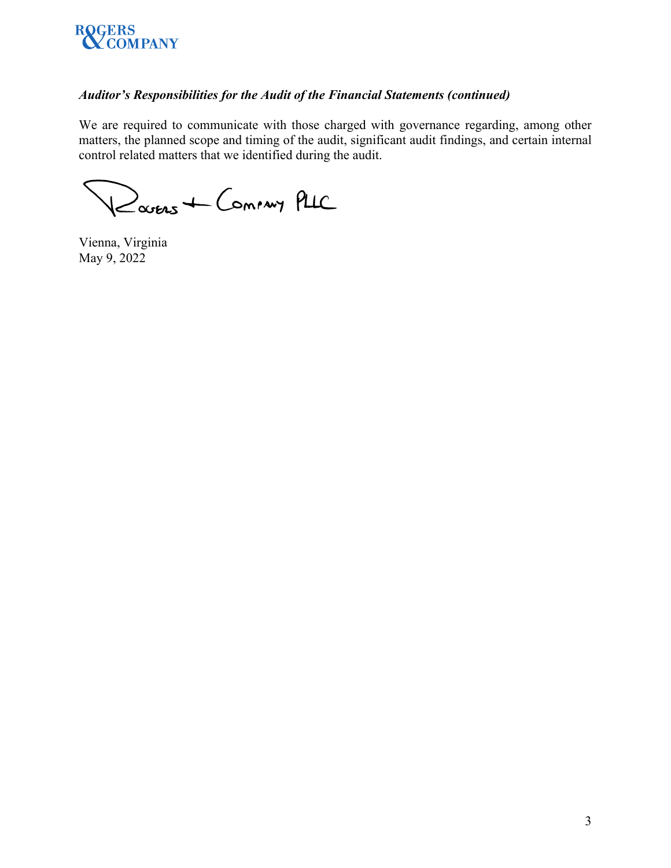

## *Auditor's Responsibilities for the Audit of the Financial Statements (continued)*

We are required to communicate with those charged with governance regarding, among other matters, the planned scope and timing of the audit, significant audit findings, and certain internal control related matters that we identified during the audit.

Ravens + Commy PLIC

Vienna, Virginia May 9, 2022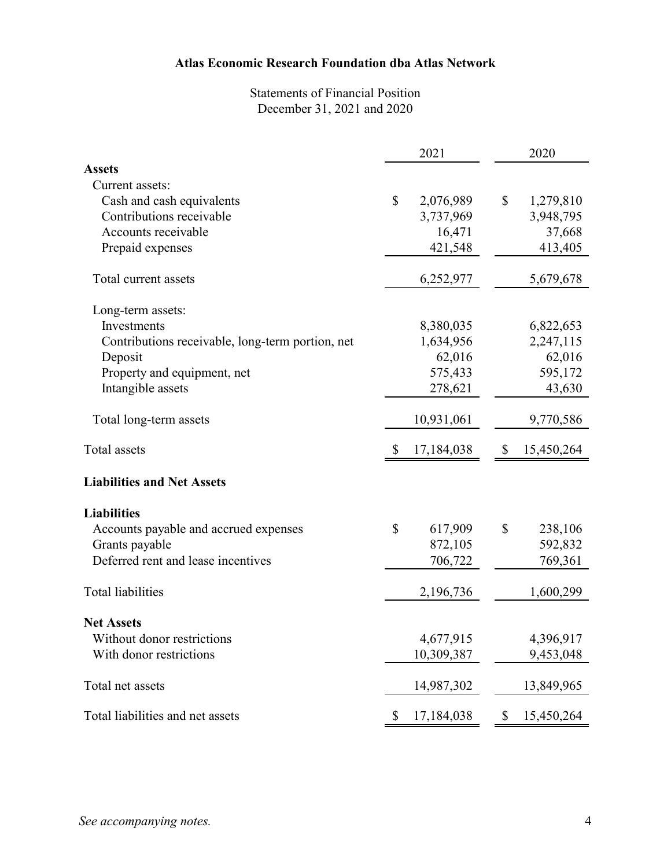# Statements of Financial Position December 31, 2021 and 2020

|                                                  |                           | 2021       |               | 2020       |  |
|--------------------------------------------------|---------------------------|------------|---------------|------------|--|
| <b>Assets</b>                                    |                           |            |               |            |  |
| Current assets:                                  |                           |            |               |            |  |
| Cash and cash equivalents                        | \$                        | 2,076,989  | \$            | 1,279,810  |  |
| Contributions receivable                         |                           | 3,737,969  |               | 3,948,795  |  |
| Accounts receivable                              |                           | 16,471     |               | 37,668     |  |
| Prepaid expenses                                 |                           | 421,548    |               | 413,405    |  |
| Total current assets                             |                           | 6,252,977  |               | 5,679,678  |  |
| Long-term assets:                                |                           |            |               |            |  |
| Investments                                      |                           | 8,380,035  |               | 6,822,653  |  |
| Contributions receivable, long-term portion, net |                           | 1,634,956  |               | 2,247,115  |  |
| Deposit                                          |                           | 62,016     |               | 62,016     |  |
| Property and equipment, net                      |                           | 575,433    |               | 595,172    |  |
| Intangible assets                                |                           | 278,621    |               | 43,630     |  |
| Total long-term assets                           |                           | 10,931,061 |               | 9,770,586  |  |
| Total assets                                     | $\boldsymbol{\mathsf{S}}$ | 17,184,038 | \$            | 15,450,264 |  |
| <b>Liabilities and Net Assets</b>                |                           |            |               |            |  |
| <b>Liabilities</b>                               |                           |            |               |            |  |
| Accounts payable and accrued expenses            | \$                        | 617,909    | $\mathcal{S}$ | 238,106    |  |
| Grants payable                                   |                           | 872,105    |               | 592,832    |  |
| Deferred rent and lease incentives               |                           | 706,722    |               | 769,361    |  |
| Total liabilities                                |                           | 2,196,736  |               | 1,600,299  |  |
| <b>Net Assets</b>                                |                           |            |               |            |  |
| Without donor restrictions                       |                           | 4,677,915  |               | 4,396,917  |  |
| With donor restrictions                          |                           | 10,309,387 |               | 9,453,048  |  |
| Total net assets                                 |                           | 14,987,302 |               | 13,849,965 |  |
| Total liabilities and net assets                 |                           | 17,184,038 | \$            | 15,450,264 |  |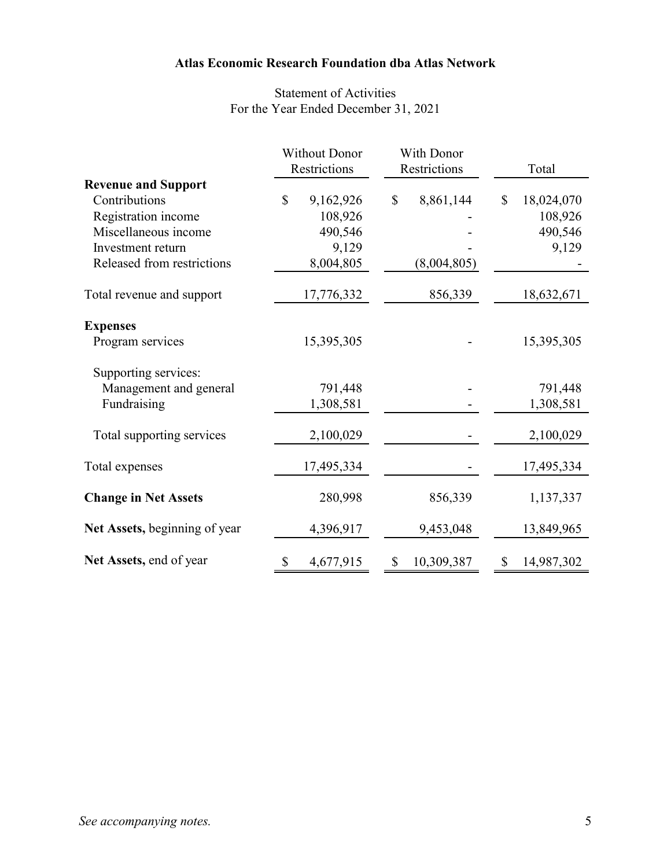# Statement of Activities For the Year Ended December 31, 2021

|                               | <b>Without Donor</b>      | With Donor       |                  |
|-------------------------------|---------------------------|------------------|------------------|
|                               | Restrictions              | Restrictions     | Total            |
| <b>Revenue and Support</b>    |                           |                  |                  |
| Contributions                 | $\mathbb{S}$<br>9,162,926 | \$<br>8,861,144  | \$<br>18,024,070 |
| Registration income           | 108,926                   |                  | 108,926          |
| Miscellaneous income          | 490,546                   |                  | 490,546          |
| Investment return             | 9,129                     |                  | 9,129            |
| Released from restrictions    | 8,004,805                 | (8,004,805)      |                  |
| Total revenue and support     | 17,776,332                | 856,339          | 18,632,671       |
| <b>Expenses</b>               |                           |                  |                  |
| Program services              | 15,395,305                |                  | 15,395,305       |
| Supporting services:          |                           |                  |                  |
| Management and general        | 791,448                   |                  | 791,448          |
| Fundraising                   | 1,308,581                 |                  | 1,308,581        |
| Total supporting services     | 2,100,029                 |                  | 2,100,029        |
| Total expenses                | 17,495,334                |                  | 17,495,334       |
| <b>Change in Net Assets</b>   | 280,998                   | 856,339          | 1,137,337        |
| Net Assets, beginning of year | 4,396,917                 | 9,453,048        | 13,849,965       |
| Net Assets, end of year       | \$<br>4,677,915           | \$<br>10,309,387 | \$<br>14,987,302 |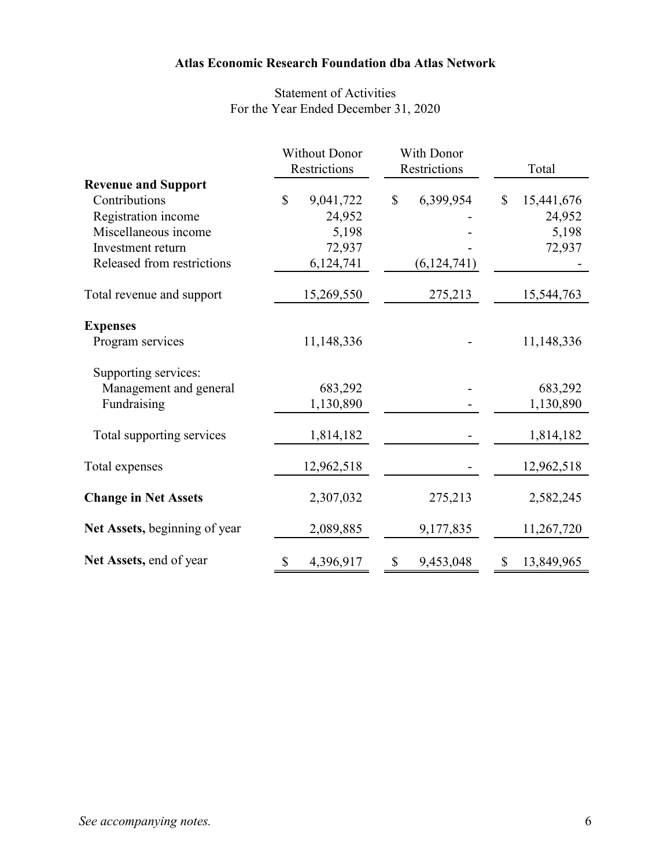# Statement of Activities For the Year Ended December 31, 2020

|                               | <b>Without Donor</b>      | With Donor      |                             |
|-------------------------------|---------------------------|-----------------|-----------------------------|
|                               | Restrictions              | Restrictions    | Total                       |
| <b>Revenue and Support</b>    |                           |                 |                             |
| Contributions                 | $\mathbb{S}$<br>9,041,722 | 6,399,954<br>\$ | $\mathcal{S}$<br>15,441,676 |
| Registration income           | 24,952                    |                 | 24,952                      |
| Miscellaneous income          | 5,198                     |                 | 5,198                       |
| Investment return             | 72,937                    |                 | 72,937                      |
| Released from restrictions    | 6,124,741                 | (6, 124, 741)   |                             |
| Total revenue and support     | 15,269,550                | 275,213         | 15,544,763                  |
| <b>Expenses</b>               |                           |                 |                             |
| Program services              | 11,148,336                |                 | 11,148,336                  |
| Supporting services:          |                           |                 |                             |
| Management and general        | 683,292                   |                 | 683,292                     |
| Fundraising                   | 1,130,890                 |                 | 1,130,890                   |
| Total supporting services     | 1,814,182                 |                 | 1,814,182                   |
| Total expenses                | 12,962,518                |                 | 12,962,518                  |
| <b>Change in Net Assets</b>   | 2,307,032                 | 275,213         | 2,582,245                   |
| Net Assets, beginning of year | 2,089,885                 | 9,177,835       | 11,267,720                  |
| Net Assets, end of year       | 4,396,917<br>\$           | \$<br>9,453,048 | $\mathbb{S}$<br>13,849,965  |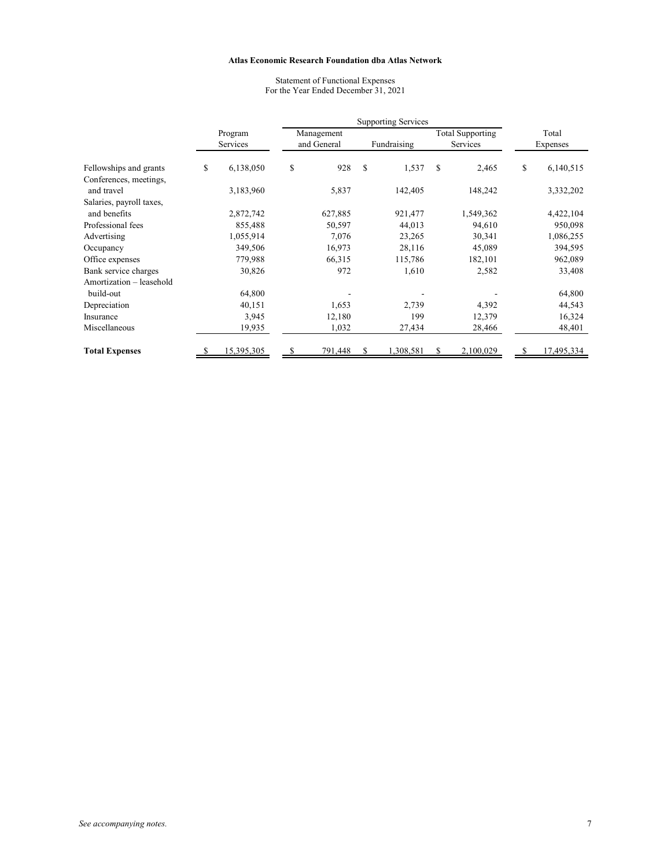Statement of Functional Expenses For the Year Ended December 31, 2021

|                          |    |            | <b>Supporting Services</b> |             |   |             |                         |           |       |            |
|--------------------------|----|------------|----------------------------|-------------|---|-------------|-------------------------|-----------|-------|------------|
|                          |    | Program    |                            | Management  |   |             | <b>Total Supporting</b> |           | Total |            |
|                          |    | Services   |                            | and General |   | Fundraising |                         | Services  |       | Expenses   |
| Fellowships and grants   | \$ | 6,138,050  | \$                         | 928         | S | 1,537       | S                       | 2,465     | \$    | 6,140,515  |
| Conferences, meetings,   |    |            |                            |             |   |             |                         |           |       |            |
| and travel               |    | 3,183,960  |                            | 5,837       |   | 142,405     |                         | 148,242   |       | 3,332,202  |
| Salaries, payroll taxes, |    |            |                            |             |   |             |                         |           |       |            |
| and benefits             |    | 2,872,742  |                            | 627,885     |   | 921,477     |                         | 1,549,362 |       | 4,422,104  |
| Professional fees        |    | 855,488    |                            | 50,597      |   | 44,013      |                         | 94,610    |       | 950,098    |
| Advertising              |    | 1,055,914  |                            | 7,076       |   | 23,265      |                         | 30,341    |       | 1,086,255  |
| Occupancy                |    | 349,506    |                            | 16,973      |   | 28,116      |                         | 45,089    |       | 394,595    |
| Office expenses          |    | 779,988    |                            | 66,315      |   | 115,786     |                         | 182,101   |       | 962,089    |
| Bank service charges     |    | 30,826     |                            | 972         |   | 1,610       |                         | 2,582     |       | 33,408     |
| Amortization - leasehold |    |            |                            |             |   |             |                         |           |       |            |
| build-out                |    | 64,800     |                            |             |   |             |                         |           |       | 64,800     |
| Depreciation             |    | 40,151     |                            | 1,653       |   | 2,739       |                         | 4,392     |       | 44,543     |
| Insurance                |    | 3,945      |                            | 12,180      |   | 199         |                         | 12,379    |       | 16,324     |
| Miscellaneous            |    | 19,935     |                            | 1,032       |   | 27,434      |                         | 28,466    |       | 48,401     |
| <b>Total Expenses</b>    | -S | 15,395,305 | S                          | 791,448     | S | 1,308,581   | S                       | 2,100,029 | S     | 17,495,334 |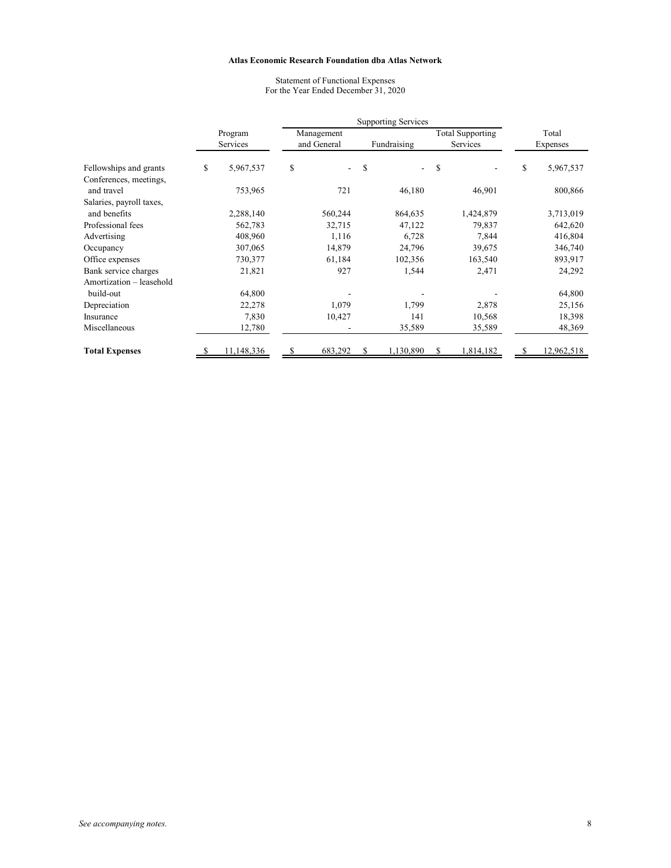Statement of Functional Expenses For the Year Ended December 31, 2020

|                          |                 | <b>Supporting Services</b> |             |   |             |   |                         |       |            |  |
|--------------------------|-----------------|----------------------------|-------------|---|-------------|---|-------------------------|-------|------------|--|
|                          | Program         |                            | Management  |   |             |   | <b>Total Supporting</b> | Total |            |  |
|                          | Services        |                            | and General |   | Fundraising |   | Services                |       | Expenses   |  |
| Fellowships and grants   | \$<br>5,967,537 | \$                         | ÷           | S |             | S |                         | \$    | 5,967,537  |  |
| Conferences, meetings,   |                 |                            |             |   |             |   |                         |       |            |  |
| and travel               | 753,965         |                            | 721         |   | 46,180      |   | 46,901                  |       | 800,866    |  |
| Salaries, payroll taxes, |                 |                            |             |   |             |   |                         |       |            |  |
| and benefits             | 2,288,140       |                            | 560,244     |   | 864,635     |   | 1,424,879               |       | 3,713,019  |  |
| Professional fees        | 562,783         |                            | 32,715      |   | 47,122      |   | 79,837                  |       | 642,620    |  |
| Advertising              | 408,960         |                            | 1,116       |   | 6,728       |   | 7,844                   |       | 416,804    |  |
| Occupancy                | 307,065         |                            | 14,879      |   | 24,796      |   | 39,675                  |       | 346,740    |  |
| Office expenses          | 730,377         |                            | 61,184      |   | 102,356     |   | 163,540                 |       | 893,917    |  |
| Bank service charges     | 21,821          |                            | 927         |   | 1,544       |   | 2,471                   |       | 24,292     |  |
| Amortization – leasehold |                 |                            |             |   |             |   |                         |       |            |  |
| build-out                | 64,800          |                            |             |   |             |   |                         |       | 64,800     |  |
| Depreciation             | 22,278          |                            | 1,079       |   | 1,799       |   | 2,878                   |       | 25,156     |  |
| Insurance                | 7,830           |                            | 10,427      |   | 141         |   | 10,568                  |       | 18,398     |  |
| Miscellaneous            | 12,780          |                            |             |   | 35,589      |   | 35,589                  |       | 48,369     |  |
| <b>Total Expenses</b>    | 11,148,336      | S                          | 683,292     | S | 1,130,890   | S | 1,814,182               |       | 12,962,518 |  |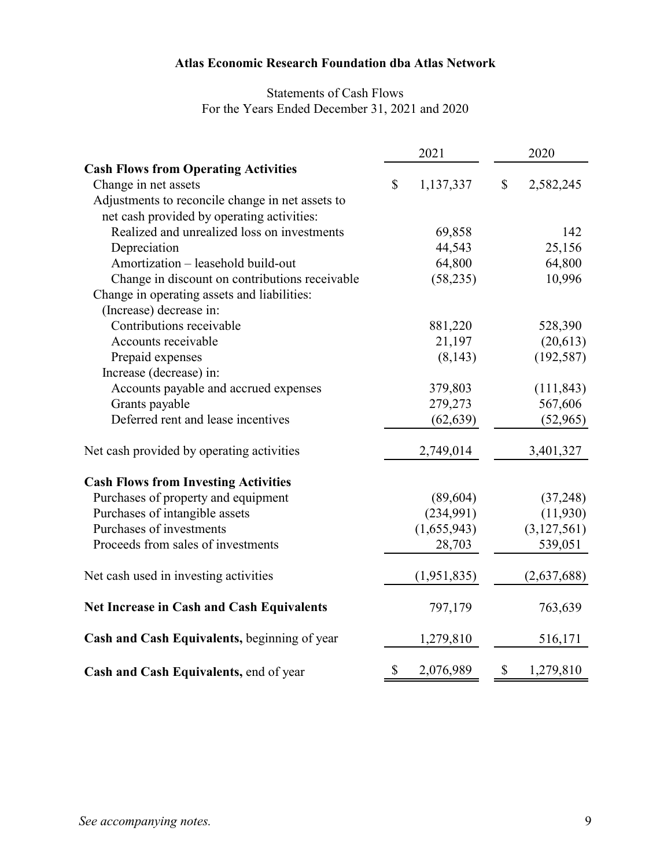# Statements of Cash Flows For the Years Ended December 31, 2021 and 2020

|                                                  | 2021            | 2020         |             |  |
|--------------------------------------------------|-----------------|--------------|-------------|--|
| <b>Cash Flows from Operating Activities</b>      |                 |              |             |  |
| Change in net assets                             | \$<br>1,137,337 | $\mathbb{S}$ | 2,582,245   |  |
| Adjustments to reconcile change in net assets to |                 |              |             |  |
| net cash provided by operating activities:       |                 |              |             |  |
| Realized and unrealized loss on investments      | 69,858          |              | 142         |  |
| Depreciation                                     | 44,543          |              | 25,156      |  |
| Amortization - leasehold build-out               | 64,800          |              | 64,800      |  |
| Change in discount on contributions receivable   | (58, 235)       |              | 10,996      |  |
| Change in operating assets and liabilities:      |                 |              |             |  |
| (Increase) decrease in:                          |                 |              |             |  |
| Contributions receivable                         | 881,220         |              | 528,390     |  |
| Accounts receivable                              | 21,197          |              | (20,613)    |  |
| Prepaid expenses                                 | (8, 143)        |              | (192, 587)  |  |
| Increase (decrease) in:                          |                 |              |             |  |
| Accounts payable and accrued expenses            | 379,803         |              | (111, 843)  |  |
| Grants payable                                   | 279,273         |              | 567,606     |  |
| Deferred rent and lease incentives               | (62, 639)       |              | (52, 965)   |  |
| Net cash provided by operating activities        | 2,749,014       |              | 3,401,327   |  |
| <b>Cash Flows from Investing Activities</b>      |                 |              |             |  |
| Purchases of property and equipment              | (89, 604)       |              | (37, 248)   |  |
| Purchases of intangible assets                   | (234,991)       |              | (11,930)    |  |
| Purchases of investments                         | (1,655,943)     |              | (3,127,561) |  |
| Proceeds from sales of investments               | 28,703          |              | 539,051     |  |
| Net cash used in investing activities            | (1,951,835)     |              | (2,637,688) |  |
| <b>Net Increase in Cash and Cash Equivalents</b> | 797,179         |              | 763,639     |  |
| Cash and Cash Equivalents, beginning of year     | 1,279,810       |              | 516,171     |  |
| Cash and Cash Equivalents, end of year           | \$<br>2,076,989 | \$           | 1,279,810   |  |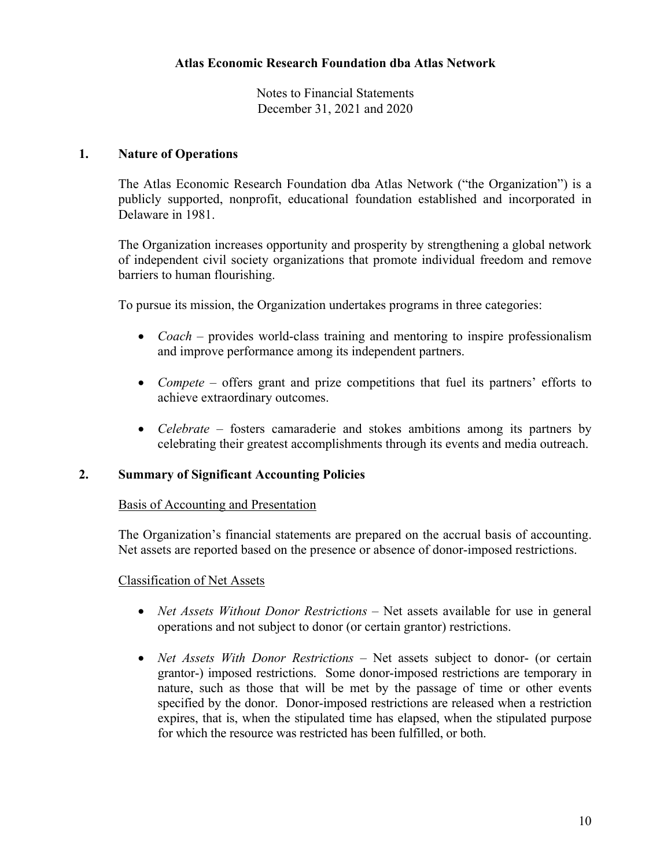#### **1. Nature of Operations**

The Atlas Economic Research Foundation dba Atlas Network ("the Organization") is a publicly supported, nonprofit, educational foundation established and incorporated in Delaware in 1981.

The Organization increases opportunity and prosperity by strengthening a global network of independent civil society organizations that promote individual freedom and remove barriers to human flourishing.

To pursue its mission, the Organization undertakes programs in three categories:

- *Coach –* provides world-class training and mentoring to inspire professionalism and improve performance among its independent partners.
- *Compete*  offers grant and prize competitions that fuel its partners' efforts to achieve extraordinary outcomes.
- *Celebrate –* fosters camaraderie and stokes ambitions among its partners by celebrating their greatest accomplishments through its events and media outreach.

#### **2. Summary of Significant Accounting Policies**

#### Basis of Accounting and Presentation

The Organization's financial statements are prepared on the accrual basis of accounting. Net assets are reported based on the presence or absence of donor-imposed restrictions.

#### Classification of Net Assets

- *Net Assets Without Donor Restrictions* Net assets available for use in general operations and not subject to donor (or certain grantor) restrictions.
- *Net Assets With Donor Restrictions* Net assets subject to donor- (or certain grantor-) imposed restrictions. Some donor-imposed restrictions are temporary in nature, such as those that will be met by the passage of time or other events specified by the donor. Donor-imposed restrictions are released when a restriction expires, that is, when the stipulated time has elapsed, when the stipulated purpose for which the resource was restricted has been fulfilled, or both.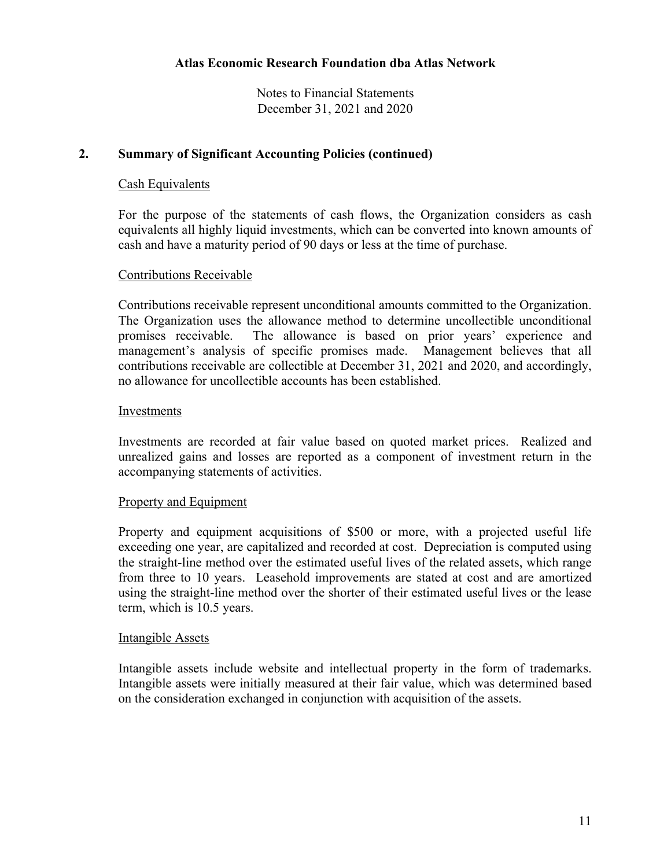### **2. Summary of Significant Accounting Policies (continued)**

#### Cash Equivalents

For the purpose of the statements of cash flows, the Organization considers as cash equivalents all highly liquid investments, which can be converted into known amounts of cash and have a maturity period of 90 days or less at the time of purchase.

#### Contributions Receivable

Contributions receivable represent unconditional amounts committed to the Organization. The Organization uses the allowance method to determine uncollectible unconditional promises receivable. The allowance is based on prior years' experience and management's analysis of specific promises made. Management believes that all contributions receivable are collectible at December 31, 2021 and 2020, and accordingly, no allowance for uncollectible accounts has been established.

#### Investments

Investments are recorded at fair value based on quoted market prices. Realized and unrealized gains and losses are reported as a component of investment return in the accompanying statements of activities.

#### Property and Equipment

Property and equipment acquisitions of \$500 or more, with a projected useful life exceeding one year, are capitalized and recorded at cost. Depreciation is computed using the straight-line method over the estimated useful lives of the related assets, which range from three to 10 years. Leasehold improvements are stated at cost and are amortized using the straight-line method over the shorter of their estimated useful lives or the lease term, which is 10.5 years.

#### Intangible Assets

Intangible assets include website and intellectual property in the form of trademarks. Intangible assets were initially measured at their fair value, which was determined based on the consideration exchanged in conjunction with acquisition of the assets.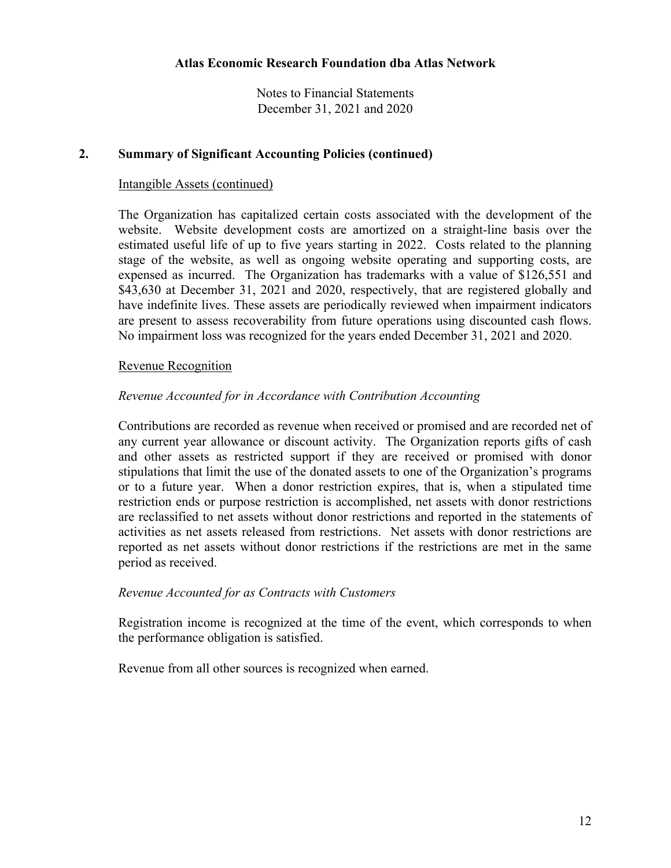### **2. Summary of Significant Accounting Policies (continued)**

### Intangible Assets (continued)

The Organization has capitalized certain costs associated with the development of the website. Website development costs are amortized on a straight-line basis over the estimated useful life of up to five years starting in 2022. Costs related to the planning stage of the website, as well as ongoing website operating and supporting costs, are expensed as incurred. The Organization has trademarks with a value of \$126,551 and \$43,630 at December 31, 2021 and 2020, respectively, that are registered globally and have indefinite lives. These assets are periodically reviewed when impairment indicators are present to assess recoverability from future operations using discounted cash flows. No impairment loss was recognized for the years ended December 31, 2021 and 2020.

### Revenue Recognition

### *Revenue Accounted for in Accordance with Contribution Accounting*

Contributions are recorded as revenue when received or promised and are recorded net of any current year allowance or discount activity. The Organization reports gifts of cash and other assets as restricted support if they are received or promised with donor stipulations that limit the use of the donated assets to one of the Organization's programs or to a future year. When a donor restriction expires, that is, when a stipulated time restriction ends or purpose restriction is accomplished, net assets with donor restrictions are reclassified to net assets without donor restrictions and reported in the statements of activities as net assets released from restrictions. Net assets with donor restrictions are reported as net assets without donor restrictions if the restrictions are met in the same period as received.

#### *Revenue Accounted for as Contracts with Customers*

Registration income is recognized at the time of the event, which corresponds to when the performance obligation is satisfied.

Revenue from all other sources is recognized when earned.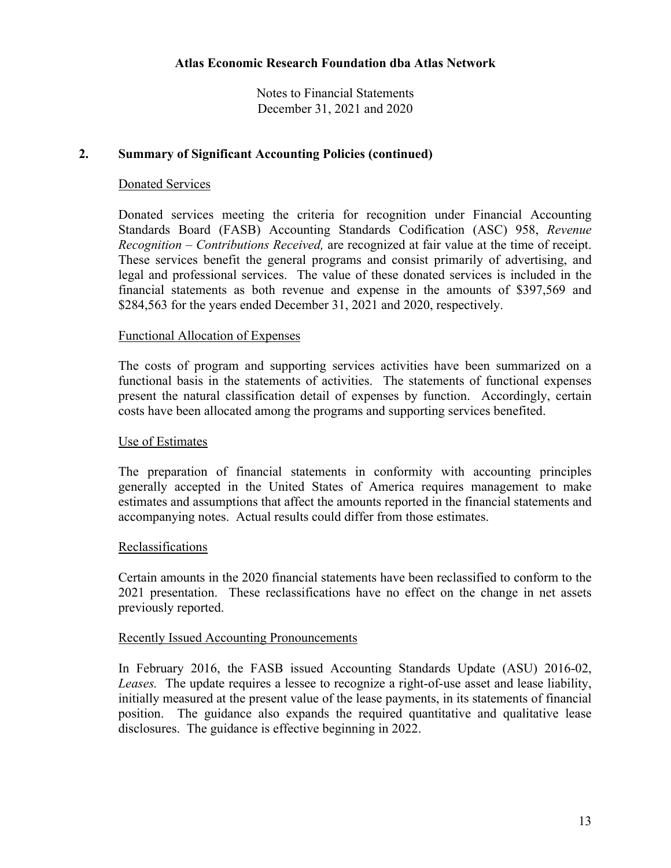### **2. Summary of Significant Accounting Policies (continued)**

### Donated Services

Donated services meeting the criteria for recognition under Financial Accounting Standards Board (FASB) Accounting Standards Codification (ASC) 958, *Revenue Recognition – Contributions Received,* are recognized at fair value at the time of receipt. These services benefit the general programs and consist primarily of advertising, and legal and professional services. The value of these donated services is included in the financial statements as both revenue and expense in the amounts of \$397,569 and \$284,563 for the years ended December 31, 2021 and 2020, respectively.

#### Functional Allocation of Expenses

The costs of program and supporting services activities have been summarized on a functional basis in the statements of activities. The statements of functional expenses present the natural classification detail of expenses by function. Accordingly, certain costs have been allocated among the programs and supporting services benefited.

#### Use of Estimates

The preparation of financial statements in conformity with accounting principles generally accepted in the United States of America requires management to make estimates and assumptions that affect the amounts reported in the financial statements and accompanying notes. Actual results could differ from those estimates.

#### **Reclassifications**

Certain amounts in the 2020 financial statements have been reclassified to conform to the 2021 presentation. These reclassifications have no effect on the change in net assets previously reported.

#### Recently Issued Accounting Pronouncements

In February 2016, the FASB issued Accounting Standards Update (ASU) 2016-02, *Leases.* The update requires a lessee to recognize a right-of-use asset and lease liability, initially measured at the present value of the lease payments, in its statements of financial position. The guidance also expands the required quantitative and qualitative lease disclosures. The guidance is effective beginning in 2022.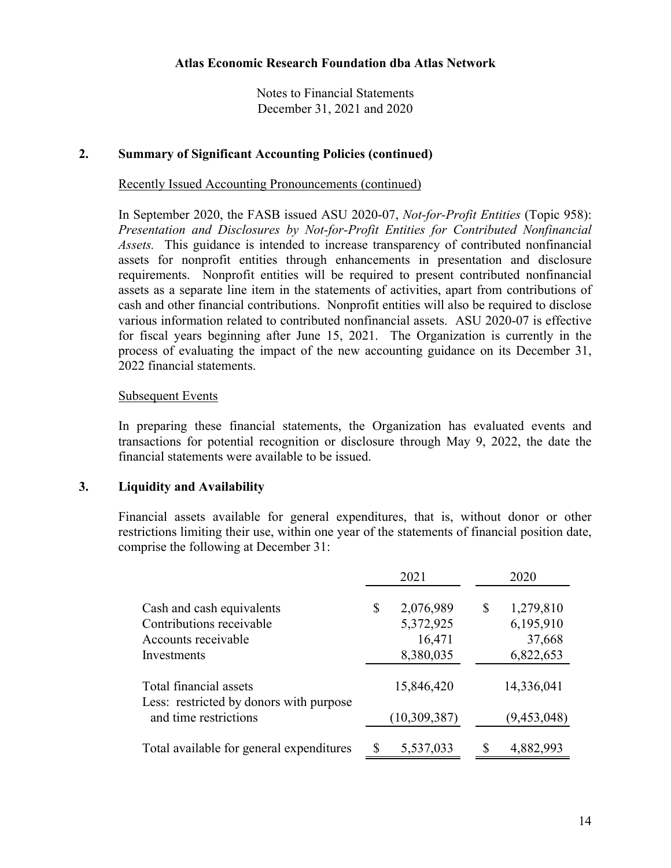#### **2. Summary of Significant Accounting Policies (continued)**

Recently Issued Accounting Pronouncements (continued)

In September 2020, the FASB issued ASU 2020-07, *Not-for-Profit Entities* (Topic 958): *Presentation and Disclosures by Not-for-Profit Entities for Contributed Nonfinancial Assets.* This guidance is intended to increase transparency of contributed nonfinancial assets for nonprofit entities through enhancements in presentation and disclosure requirements. Nonprofit entities will be required to present contributed nonfinancial assets as a separate line item in the statements of activities, apart from contributions of cash and other financial contributions. Nonprofit entities will also be required to disclose various information related to contributed nonfinancial assets. ASU 2020-07 is effective for fiscal years beginning after June 15, 2021. The Organization is currently in the process of evaluating the impact of the new accounting guidance on its December 31, 2022 financial statements.

#### Subsequent Events

In preparing these financial statements, the Organization has evaluated events and transactions for potential recognition or disclosure through May 9, 2022, the date the financial statements were available to be issued.

#### **3. Liquidity and Availability**

Financial assets available for general expenditures, that is, without donor or other restrictions limiting their use, within one year of the statements of financial position date, comprise the following at December 31:

|                                                                   | 2021            |    | 2020        |
|-------------------------------------------------------------------|-----------------|----|-------------|
| Cash and cash equivalents                                         | \$<br>2,076,989 | \$ | 1,279,810   |
| Contributions receivable                                          | 5,372,925       |    | 6,195,910   |
| Accounts receivable                                               | 16,471          |    | 37,668      |
| Investments                                                       | 8,380,035       |    | 6,822,653   |
| Total financial assets<br>Less: restricted by donors with purpose | 15,846,420      |    | 14,336,041  |
| and time restrictions                                             | (10,309,387)    |    | (9,453,048) |
| Total available for general expenditures                          | 5,537,033       | S  | 4,882,993   |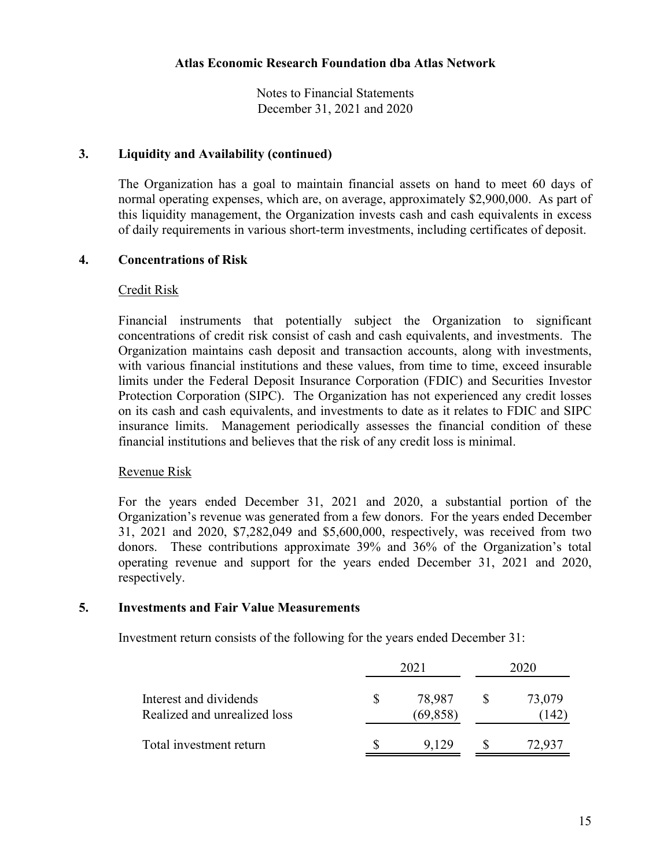Notes to Financial Statements December 31, 2021 and 2020

#### **3. Liquidity and Availability (continued)**

The Organization has a goal to maintain financial assets on hand to meet 60 days of normal operating expenses, which are, on average, approximately \$2,900,000. As part of this liquidity management, the Organization invests cash and cash equivalents in excess of daily requirements in various short-term investments, including certificates of deposit.

#### **4. Concentrations of Risk**

#### Credit Risk

Financial instruments that potentially subject the Organization to significant concentrations of credit risk consist of cash and cash equivalents, and investments. The Organization maintains cash deposit and transaction accounts, along with investments, with various financial institutions and these values, from time to time, exceed insurable limits under the Federal Deposit Insurance Corporation (FDIC) and Securities Investor Protection Corporation (SIPC). The Organization has not experienced any credit losses on its cash and cash equivalents, and investments to date as it relates to FDIC and SIPC insurance limits. Management periodically assesses the financial condition of these financial institutions and believes that the risk of any credit loss is minimal.

#### Revenue Risk

For the years ended December 31, 2021 and 2020, a substantial portion of the Organization's revenue was generated from a few donors. For the years ended December 31, 2021 and 2020, \$7,282,049 and \$5,600,000, respectively, was received from two donors. These contributions approximate 39% and 36% of the Organization's total operating revenue and support for the years ended December 31, 2021 and 2020, respectively.

#### **5. Investments and Fair Value Measurements**

Investment return consists of the following for the years ended December 31:

|                                                        | 2021                | 2020           |  |
|--------------------------------------------------------|---------------------|----------------|--|
| Interest and dividends<br>Realized and unrealized loss | 78,987<br>(69, 858) | 73,079<br>.142 |  |
| Total investment return                                | 9.129               | 72.937         |  |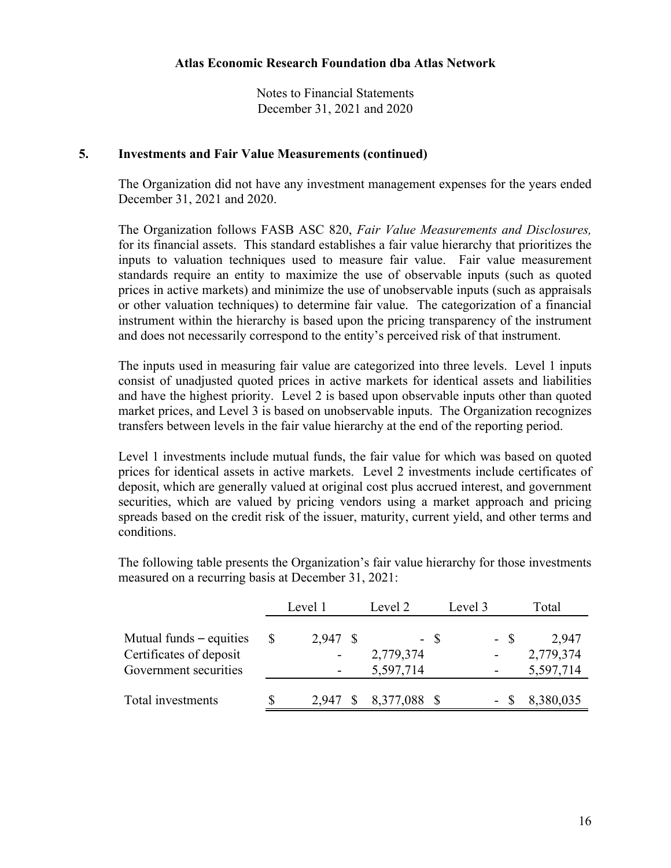#### **5. Investments and Fair Value Measurements (continued)**

The Organization did not have any investment management expenses for the years ended December 31, 2021 and 2020.

The Organization follows FASB ASC 820, *Fair Value Measurements and Disclosures,* for its financial assets. This standard establishes a fair value hierarchy that prioritizes the inputs to valuation techniques used to measure fair value. Fair value measurement standards require an entity to maximize the use of observable inputs (such as quoted prices in active markets) and minimize the use of unobservable inputs (such as appraisals or other valuation techniques) to determine fair value. The categorization of a financial instrument within the hierarchy is based upon the pricing transparency of the instrument and does not necessarily correspond to the entity's perceived risk of that instrument.

The inputs used in measuring fair value are categorized into three levels. Level 1 inputs consist of unadjusted quoted prices in active markets for identical assets and liabilities and have the highest priority. Level 2 is based upon observable inputs other than quoted market prices, and Level 3 is based on unobservable inputs. The Organization recognizes transfers between levels in the fair value hierarchy at the end of the reporting period.

Level 1 investments include mutual funds, the fair value for which was based on quoted prices for identical assets in active markets. Level 2 investments include certificates of deposit, which are generally valued at original cost plus accrued interest, and government securities, which are valued by pricing vendors using a market approach and pricing spreads based on the credit risk of the issuer, maturity, current yield, and other terms and conditions.

The following table presents the Organization's fair value hierarchy for those investments measured on a recurring basis at December 31, 2021:

|                                                                             | Level 1 |          | Level 2                        |  | Level 3 | Total                           |
|-----------------------------------------------------------------------------|---------|----------|--------------------------------|--|---------|---------------------------------|
| Mutual funds – equities<br>Certificates of deposit<br>Government securities |         | 2,947 \$ | - \$<br>2,779,374<br>5,597,714 |  | - \$    | 2.947<br>2,779,374<br>5,597,714 |
| Total investments                                                           |         |          | 2,947 \$ 8,377,088 \$          |  |         | 8,380,035                       |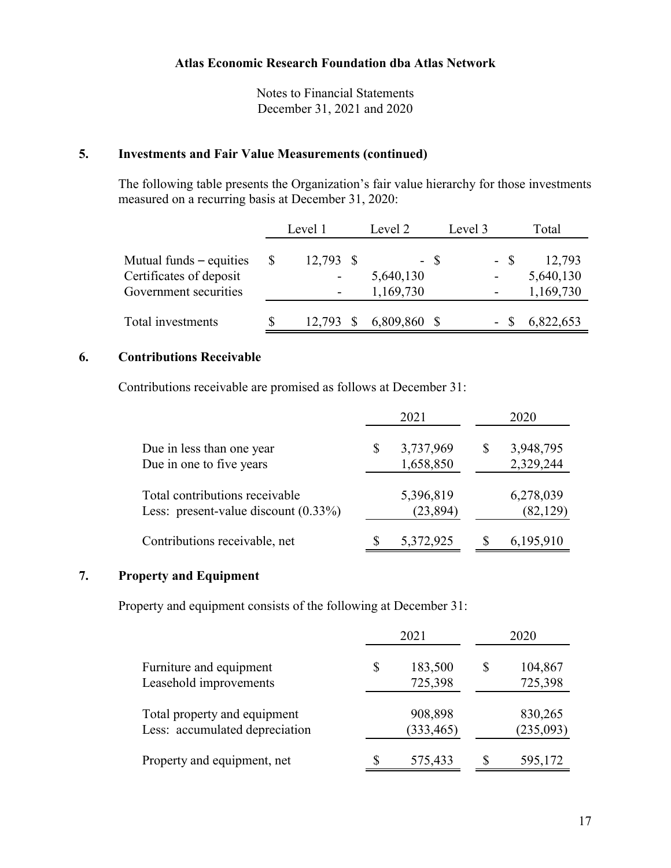## **5. Investments and Fair Value Measurements (continued)**

The following table presents the Organization's fair value hierarchy for those investments measured on a recurring basis at December 31, 2020:

|                                                                               |   | Level 1     | Level 2                |      | Level 3                          | Total                            |
|-------------------------------------------------------------------------------|---|-------------|------------------------|------|----------------------------------|----------------------------------|
| Mutual funds $-$ equities<br>Certificates of deposit<br>Government securities | S | $12,793$ \$ | 5,640,130<br>1,169,730 | - \$ | - \$<br>$\overline{\phantom{0}}$ | 12,793<br>5,640,130<br>1,169,730 |
| Total investments                                                             |   | 12,793 \$   | 6,809,860 \$           |      |                                  | 6,822,653                        |

## **6. Contributions Receivable**

Contributions receivable are promised as follows at December 31:

|                                                                           |   | 2021                   |   | 2020                   |
|---------------------------------------------------------------------------|---|------------------------|---|------------------------|
| Due in less than one year<br>Due in one to five years                     | S | 3,737,969<br>1,658,850 | S | 3,948,795<br>2,329,244 |
| Total contributions receivable<br>Less: present-value discount $(0.33\%)$ |   | 5,396,819<br>(23, 894) |   | 6,278,039<br>(82, 129) |
| Contributions receivable, net                                             |   | 5,372,925              |   | 6,195,910              |

# **7. Property and Equipment**

Property and equipment consists of the following at December 31:

|                                                                | 2021                     |   | 2020                 |
|----------------------------------------------------------------|--------------------------|---|----------------------|
| Furniture and equipment<br>Leasehold improvements              | \$<br>183,500<br>725,398 | S | 104,867<br>725,398   |
| Total property and equipment<br>Less: accumulated depreciation | 908,898<br>(333, 465)    |   | 830,265<br>(235,093) |
| Property and equipment, net                                    | 575,433                  |   | 595,172              |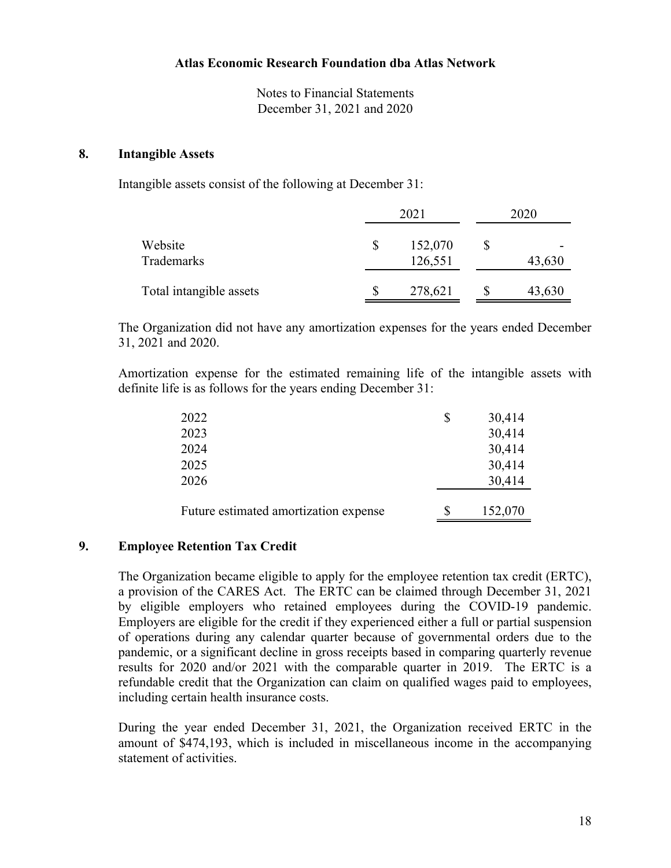#### **8. Intangible Assets**

Intangible assets consist of the following at December 31:

|                         | 2021               | 2020         |
|-------------------------|--------------------|--------------|
| Website<br>Trademarks   | 152,070<br>126,551 | \$<br>43,630 |
| Total intangible assets | 278,621            | 43,630       |

The Organization did not have any amortization expenses for the years ended December 31, 2021 and 2020.

Amortization expense for the estimated remaining life of the intangible assets with definite life is as follows for the years ending December 31:

| 2022                                  | \$<br>30,414 |
|---------------------------------------|--------------|
| 2023                                  | 30,414       |
| 2024                                  | 30,414       |
| 2025                                  | 30,414       |
| 2026                                  | 30,414       |
|                                       |              |
| Future estimated amortization expense | 152,070      |

#### **9. Employee Retention Tax Credit**

The Organization became eligible to apply for the employee retention tax credit (ERTC), a provision of the CARES Act. The ERTC can be claimed through December 31, 2021 by eligible employers who retained employees during the COVID-19 pandemic. Employers are eligible for the credit if they experienced either a full or partial suspension of operations during any calendar quarter because of governmental orders due to the pandemic, or a significant decline in gross receipts based in comparing quarterly revenue results for 2020 and/or 2021 with the comparable quarter in 2019. The ERTC is a refundable credit that the Organization can claim on qualified wages paid to employees, including certain health insurance costs.

During the year ended December 31, 2021, the Organization received ERTC in the amount of \$474,193, which is included in miscellaneous income in the accompanying statement of activities.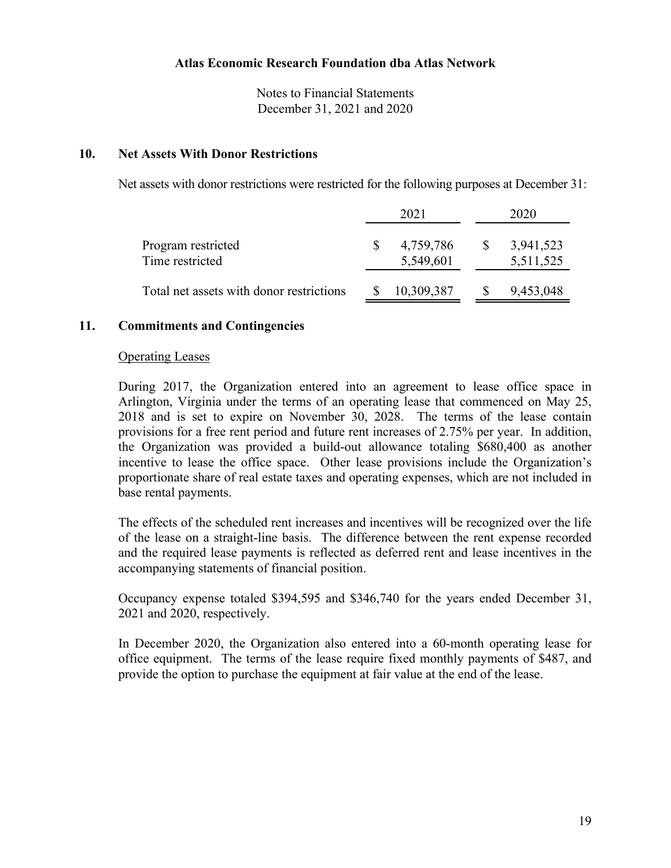Notes to Financial Statements December 31, 2021 and 2020

#### **10. Net Assets With Donor Restrictions**

Net assets with donor restrictions were restricted for the following purposes at December 31:

|                                          | 2021                   |     | 2020                   |
|------------------------------------------|------------------------|-----|------------------------|
| Program restricted<br>Time restricted    | 4,759,786<br>5,549,601 | -SS | 3,941,523<br>5,511,525 |
| Total net assets with donor restrictions | 10,309,387             |     | 9,453,048              |

#### **11. Commitments and Contingencies**

#### Operating Leases

During 2017, the Organization entered into an agreement to lease office space in Arlington, Virginia under the terms of an operating lease that commenced on May 25, 2018 and is set to expire on November 30, 2028. The terms of the lease contain provisions for a free rent period and future rent increases of 2.75% per year. In addition, the Organization was provided a build-out allowance totaling \$680,400 as another incentive to lease the office space. Other lease provisions include the Organization's proportionate share of real estate taxes and operating expenses, which are not included in base rental payments.

The effects of the scheduled rent increases and incentives will be recognized over the life of the lease on a straight-line basis. The difference between the rent expense recorded and the required lease payments is reflected as deferred rent and lease incentives in the accompanying statements of financial position.

Occupancy expense totaled \$394,595 and \$346,740 for the years ended December 31, 2021 and 2020, respectively.

In December 2020, the Organization also entered into a 60-month operating lease for office equipment. The terms of the lease require fixed monthly payments of \$487, and provide the option to purchase the equipment at fair value at the end of the lease.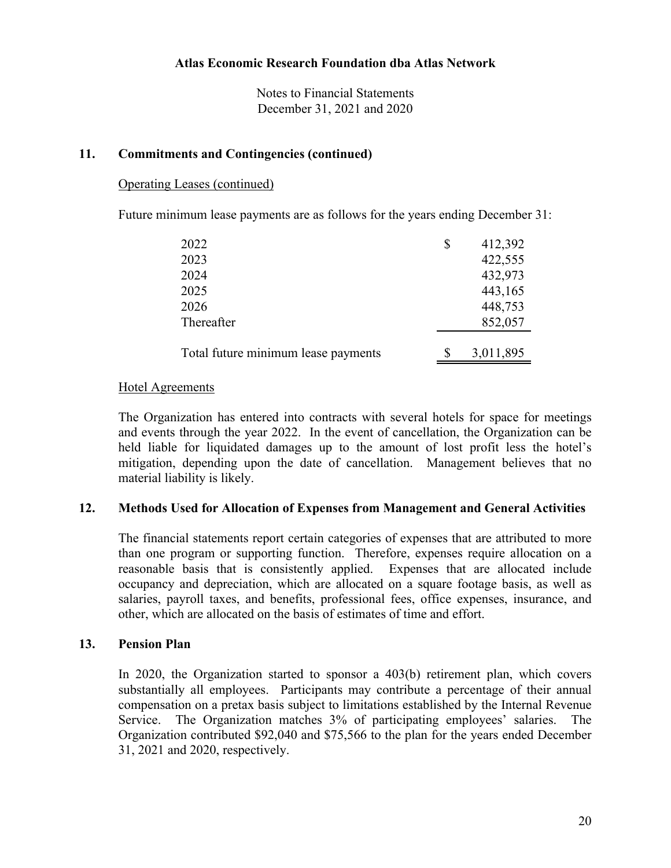### **11. Commitments and Contingencies (continued)**

### Operating Leases (continued)

Future minimum lease payments are as follows for the years ending December 31:

| 2022                                | \$<br>412,392 |
|-------------------------------------|---------------|
| 2023                                | 422,555       |
| 2024                                | 432,973       |
| 2025                                | 443,165       |
| 2026                                | 448,753       |
| Thereafter                          | 852,057       |
| Total future minimum lease payments | 3,011,895     |

### Hotel Agreements

The Organization has entered into contracts with several hotels for space for meetings and events through the year 2022. In the event of cancellation, the Organization can be held liable for liquidated damages up to the amount of lost profit less the hotel's mitigation, depending upon the date of cancellation. Management believes that no material liability is likely.

#### **12. Methods Used for Allocation of Expenses from Management and General Activities**

The financial statements report certain categories of expenses that are attributed to more than one program or supporting function. Therefore, expenses require allocation on a reasonable basis that is consistently applied. Expenses that are allocated include occupancy and depreciation, which are allocated on a square footage basis, as well as salaries, payroll taxes, and benefits, professional fees, office expenses, insurance, and other, which are allocated on the basis of estimates of time and effort.

## **13. Pension Plan**

In 2020, the Organization started to sponsor a 403(b) retirement plan, which covers substantially all employees. Participants may contribute a percentage of their annual compensation on a pretax basis subject to limitations established by the Internal Revenue Service. The Organization matches 3% of participating employees' salaries. The Organization contributed \$92,040 and \$75,566 to the plan for the years ended December 31, 2021 and 2020, respectively.